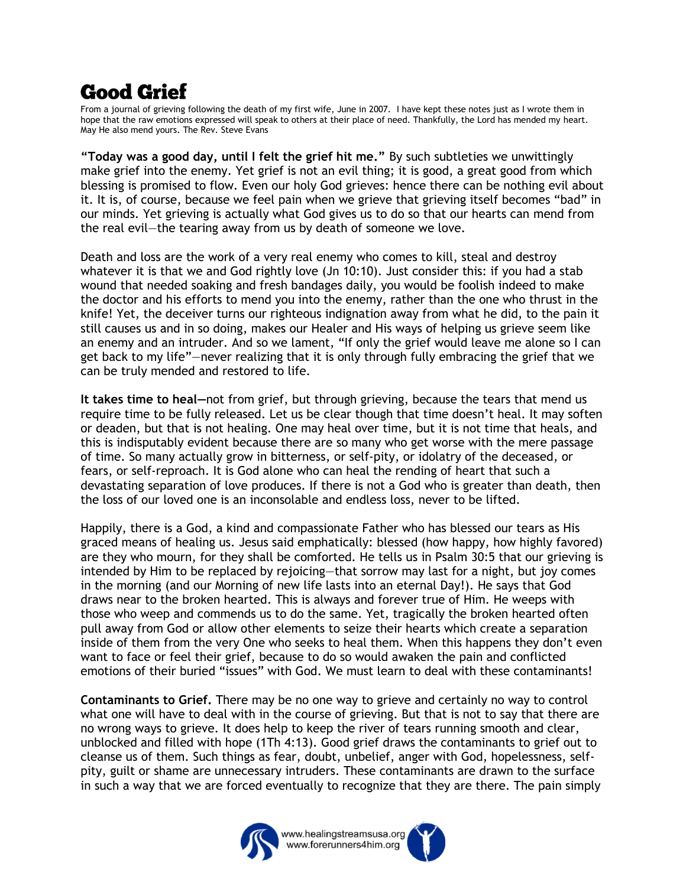## **Good Grief**

From a journal of grieving following the death of my first wife, June in 2007. I have kept these notes just as I wrote them in hope that the raw emotions expressed will speak to others at their place of need. Thankfully, the Lord has mended my heart. May He also mend yours. The Rev. Steve Evans

**"Today was a good day, until I felt the grief hit me."** By such subtleties we unwittingly make grief into the enemy. Yet grief is not an evil thing; it is good, a great good from which blessing is promised to flow. Even our holy God grieves: hence there can be nothing evil about it. It is, of course, because we feel pain when we grieve that grieving itself becomes "bad" in our minds. Yet grieving is actually what God gives us to do so that our hearts can mend from the real evil—the tearing away from us by death of someone we love.

Death and loss are the work of a very real enemy who comes to kill, steal and destroy whatever it is that we and God rightly love (Jn 10:10). Just consider this: if you had a stab wound that needed soaking and fresh bandages daily, you would be foolish indeed to make the doctor and his efforts to mend you into the enemy, rather than the one who thrust in the knife! Yet, the deceiver turns our righteous indignation away from what he did, to the pain it still causes us and in so doing, makes our Healer and His ways of helping us grieve seem like an enemy and an intruder. And so we lament, "If only the grief would leave me alone so I can get back to my life"—never realizing that it is only through fully embracing the grief that we can be truly mended and restored to life.

**It takes time to heal—**not from grief, but through grieving, because the tears that mend us require time to be fully released. Let us be clear though that time doesn't heal. It may soften or deaden, but that is not healing. One may heal over time, but it is not time that heals, and this is indisputably evident because there are so many who get worse with the mere passage of time. So many actually grow in bitterness, or self-pity, or idolatry of the deceased, or fears, or self-reproach. It is God alone who can heal the rending of heart that such a devastating separation of love produces. If there is not a God who is greater than death, then the loss of our loved one is an inconsolable and endless loss, never to be lifted.

Happily, there is a God, a kind and compassionate Father who has blessed our tears as His graced means of healing us. Jesus said emphatically: blessed (how happy, how highly favored) are they who mourn, for they shall be comforted. He tells us in Psalm 30:5 that our grieving is intended by Him to be replaced by rejoicing—that sorrow may last for a night, but joy comes in the morning (and our Morning of new life lasts into an eternal Day!). He says that God draws near to the broken hearted. This is always and forever true of Him. He weeps with those who weep and commends us to do the same. Yet, tragically the broken hearted often pull away from God or allow other elements to seize their hearts which create a separation inside of them from the very One who seeks to heal them. When this happens they don't even want to face or feel their grief, because to do so would awaken the pain and conflicted emotions of their buried "issues" with God. We must learn to deal with these contaminants!

**Contaminants to Grief.** There may be no one way to grieve and certainly no way to control what one will have to deal with in the course of grieving. But that is not to say that there are no wrong ways to grieve. It does help to keep the river of tears running smooth and clear, unblocked and filled with hope (1Th 4:13). Good grief draws the contaminants to grief out to cleanse us of them. Such things as fear, doubt, unbelief, anger with God, hopelessness, selfpity, guilt or shame are unnecessary intruders. These contaminants are drawn to the surface in such a way that we are forced eventually to recognize that they are there. The pain simply



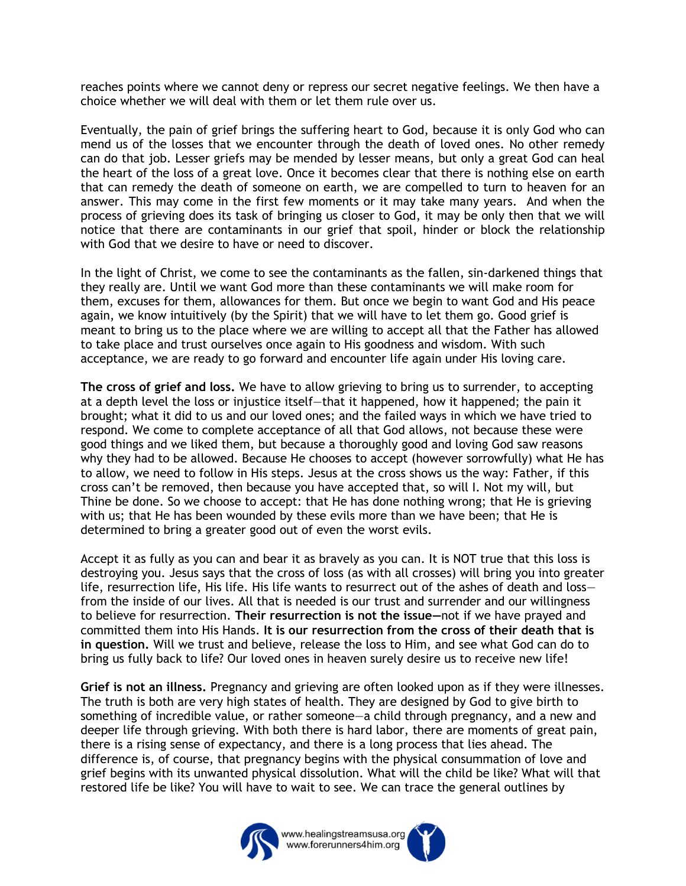reaches points where we cannot deny or repress our secret negative feelings. We then have a choice whether we will deal with them or let them rule over us.

Eventually, the pain of grief brings the suffering heart to God, because it is only God who can mend us of the losses that we encounter through the death of loved ones. No other remedy can do that job. Lesser griefs may be mended by lesser means, but only a great God can heal the heart of the loss of a great love. Once it becomes clear that there is nothing else on earth that can remedy the death of someone on earth, we are compelled to turn to heaven for an answer. This may come in the first few moments or it may take many years. And when the process of grieving does its task of bringing us closer to God, it may be only then that we will notice that there are contaminants in our grief that spoil, hinder or block the relationship with God that we desire to have or need to discover.

In the light of Christ, we come to see the contaminants as the fallen, sin-darkened things that they really are. Until we want God more than these contaminants we will make room for them, excuses for them, allowances for them. But once we begin to want God and His peace again, we know intuitively (by the Spirit) that we will have to let them go. Good grief is meant to bring us to the place where we are willing to accept all that the Father has allowed to take place and trust ourselves once again to His goodness and wisdom. With such acceptance, we are ready to go forward and encounter life again under His loving care.

**The cross of grief and loss.** We have to allow grieving to bring us to surrender, to accepting at a depth level the loss or injustice itself—that it happened, how it happened; the pain it brought; what it did to us and our loved ones; and the failed ways in which we have tried to respond. We come to complete acceptance of all that God allows, not because these were good things and we liked them, but because a thoroughly good and loving God saw reasons why they had to be allowed. Because He chooses to accept (however sorrowfully) what He has to allow, we need to follow in His steps. Jesus at the cross shows us the way: Father, if this cross can't be removed, then because you have accepted that, so will I. Not my will, but Thine be done. So we choose to accept: that He has done nothing wrong; that He is grieving with us; that He has been wounded by these evils more than we have been; that He is determined to bring a greater good out of even the worst evils.

Accept it as fully as you can and bear it as bravely as you can. It is NOT true that this loss is destroying you. Jesus says that the cross of loss (as with all crosses) will bring you into greater life, resurrection life, His life. His life wants to resurrect out of the ashes of death and loss from the inside of our lives. All that is needed is our trust and surrender and our willingness to believe for resurrection. **Their resurrection is not the issue—**not if we have prayed and committed them into His Hands. **It is our resurrection from the cross of their death that is in question.** Will we trust and believe, release the loss to Him, and see what God can do to bring us fully back to life? Our loved ones in heaven surely desire us to receive new life!

**Grief is not an illness.** Pregnancy and grieving are often looked upon as if they were illnesses. The truth is both are very high states of health. They are designed by God to give birth to something of incredible value, or rather someone—a child through pregnancy, and a new and deeper life through grieving. With both there is hard labor, there are moments of great pain, there is a rising sense of expectancy, and there is a long process that lies ahead. The difference is, of course, that pregnancy begins with the physical consummation of love and grief begins with its unwanted physical dissolution. What will the child be like? What will that restored life be like? You will have to wait to see. We can trace the general outlines by